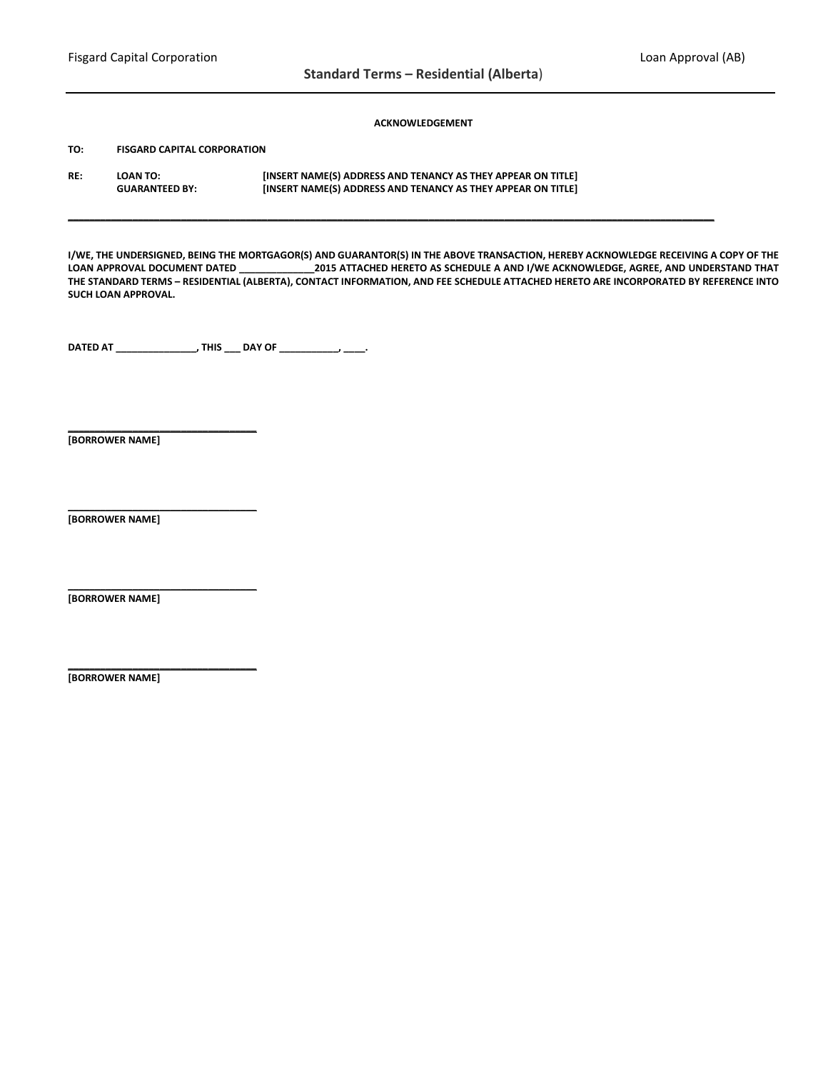### **ACKNOWLEDGEMENT**

**TO: FISGARD CAPITAL CORPORATION**

**RE: LOAN TO: [INSERT NAME(S) ADDRESS AND TENANCY AS THEY APPEAR ON TITLE] GUARANTEED BY: [INSERT NAME(S) ADDRESS AND TENANCY AS THEY APPEAR ON TITLE]**

**I/WE, THE UNDERSIGNED, BEING THE MORTGAGOR(S) AND GUARANTOR(S) IN THE ABOVE TRANSACTION, HEREBY ACKNOWLEDGE RECEIVING A COPY OF THE LOAN APPROVAL DOCUMENT DATED \_\_\_\_\_\_\_\_\_\_\_\_\_\_2015 ATTACHED HERETO AS SCHEDULE A AND I/WE ACKNOWLEDGE, AGREE, AND UNDERSTAND THAT THE STANDARD TERMS – RESIDENTIAL (ALBERTA), CONTACT INFORMATION, AND FEE SCHEDULE ATTACHED HERETO ARE INCORPORATED BY REFERENCE INTO SUCH LOAN APPROVAL.**

**\_\_\_\_\_\_\_\_\_\_\_\_\_\_\_\_\_\_\_\_\_\_\_\_\_\_\_\_\_\_\_\_\_\_\_\_\_\_\_\_\_\_\_\_\_\_\_\_\_\_\_\_\_\_\_\_\_\_\_\_\_\_\_\_\_\_\_\_\_\_\_\_\_\_\_\_\_\_\_\_\_\_\_\_\_\_\_\_\_\_\_\_\_\_\_\_\_\_\_\_\_\_\_\_\_\_\_\_\_\_\_\_\_\_\_\_\_\_\_\_**

**DATED AT \_\_\_\_\_\_\_\_\_\_\_\_\_\_\_, THIS \_\_\_ DAY OF \_\_\_\_\_\_\_\_\_\_\_, \_\_\_\_.**

**[BORROWER NAME]**

**\_\_\_\_\_\_\_\_\_\_\_\_\_\_\_\_\_\_\_\_\_\_\_\_\_\_\_\_\_\_\_\_\_\_\_**

**\_\_\_\_\_\_\_\_\_\_\_\_\_\_\_\_\_\_\_\_\_\_\_\_\_\_\_\_\_\_\_\_\_\_\_**

**\_\_\_\_\_\_\_\_\_\_\_\_\_\_\_\_\_\_\_\_\_\_\_\_\_\_\_\_\_\_\_\_\_\_\_**

**\_\_\_\_\_\_\_\_\_\_\_\_\_\_\_\_\_\_\_\_\_\_\_\_\_\_\_\_\_\_\_\_\_\_\_**

**[BORROWER NAME]**

**[BORROWER NAME]**

**[BORROWER NAME]**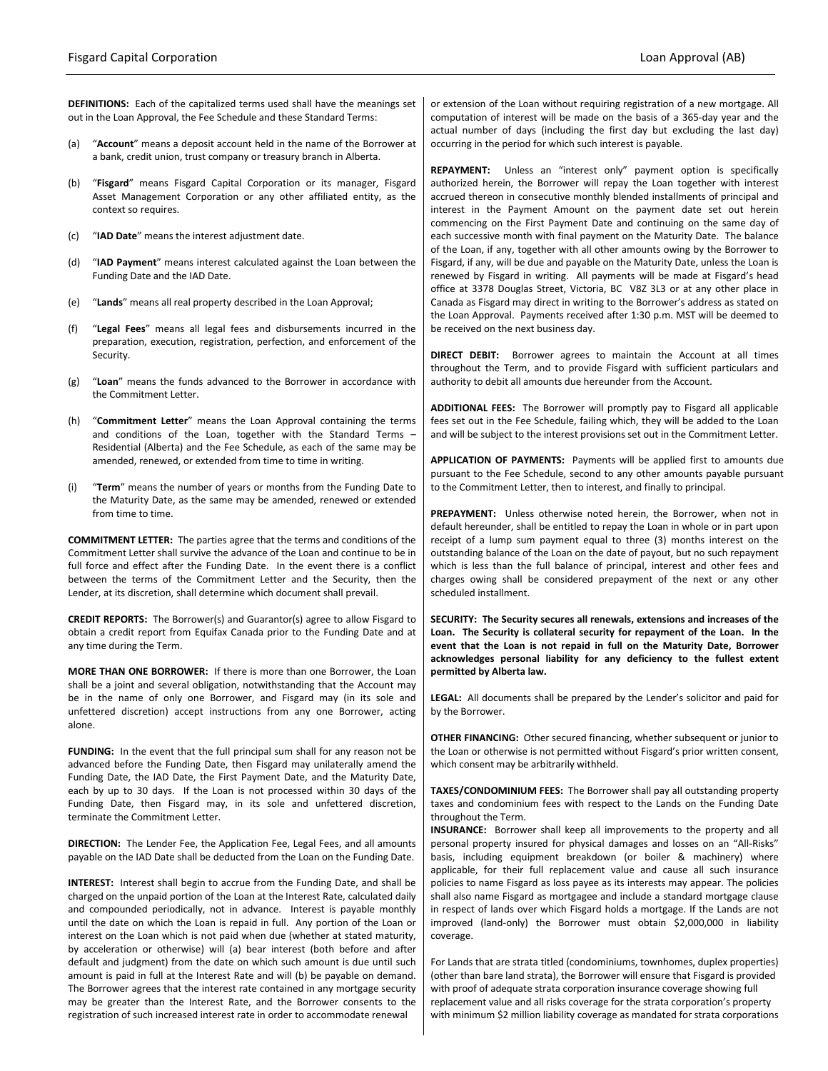**DEFINITIONS:** Each of the capitalized terms used shall have the meanings set out in the Loan Approval, the Fee Schedule and these Standard Terms:

- (a) "**Account**" means a deposit account held in the name of the Borrower at a bank, credit union, trust company or treasury branch in Alberta.
- (b) "**Fisgard**" means Fisgard Capital Corporation or its manager, Fisgard Asset Management Corporation or any other affiliated entity, as the context so requires.
- (c) "**IAD Date**" means the interest adjustment date.
- (d) "**IAD Payment**" means interest calculated against the Loan between the Funding Date and the IAD Date.
- (e) "**Lands**" means all real property described in the Loan Approval;
- (f) "**Legal Fees**" means all legal fees and disbursements incurred in the preparation, execution, registration, perfection, and enforcement of the Security.
- (g) "**Loan**" means the funds advanced to the Borrower in accordance with the Commitment Letter.
- (h) "**Commitment Letter**" means the Loan Approval containing the terms and conditions of the Loan, together with the Standard Terms – Residential (Alberta) and the Fee Schedule, as each of the same may be amended, renewed, or extended from time to time in writing.
- (i) "**Term**" means the number of years or months from the Funding Date to the Maturity Date, as the same may be amended, renewed or extended from time to time.

**COMMITMENT LETTER:** The parties agree that the terms and conditions of the Commitment Letter shall survive the advance of the Loan and continue to be in full force and effect after the Funding Date. In the event there is a conflict between the terms of the Commitment Letter and the Security, then the Lender, at its discretion, shall determine which document shall prevail.

**CREDIT REPORTS:** The Borrower(s) and Guarantor(s) agree to allow Fisgard to obtain a credit report from Equifax Canada prior to the Funding Date and at any time during the Term.

**MORE THAN ONE BORROWER:** If there is more than one Borrower, the Loan shall be a joint and several obligation, notwithstanding that the Account may be in the name of only one Borrower, and Fisgard may (in its sole and unfettered discretion) accept instructions from any one Borrower, acting alone.

**FUNDING:** In the event that the full principal sum shall for any reason not be advanced before the Funding Date, then Fisgard may unilaterally amend the Funding Date, the IAD Date, the First Payment Date, and the Maturity Date, each by up to 30 days. If the Loan is not processed within 30 days of the Funding Date, then Fisgard may, in its sole and unfettered discretion, terminate the Commitment Letter.

**DIRECTION:** The Lender Fee, the Application Fee, Legal Fees, and all amounts payable on the IAD Date shall be deducted from the Loan on the Funding Date.

**INTEREST:** Interest shall begin to accrue from the Funding Date, and shall be charged on the unpaid portion of the Loan at the Interest Rate, calculated daily and compounded periodically, not in advance. Interest is payable monthly until the date on which the Loan is repaid in full. Any portion of the Loan or interest on the Loan which is not paid when due (whether at stated maturity, by acceleration or otherwise) will (a) bear interest (both before and after default and judgment) from the date on which such amount is due until such amount is paid in full at the Interest Rate and will (b) be payable on demand. The Borrower agrees that the interest rate contained in any mortgage security may be greater than the Interest Rate, and the Borrower consents to the registration of such increased interest rate in order to accommodate renewal

or extension of the Loan without requiring registration of a new mortgage. All computation of interest will be made on the basis of a 365-day year and the actual number of days (including the first day but excluding the last day) occurring in the period for which such interest is payable.

**REPAYMENT:** Unless an "interest only" payment option is specifically authorized herein, the Borrower will repay the Loan together with interest accrued thereon in consecutive monthly blended installments of principal and interest in the Payment Amount on the payment date set out herein commencing on the First Payment Date and continuing on the same day of each successive month with final payment on the Maturity Date. The balance of the Loan, if any, together with all other amounts owing by the Borrower to Fisgard, if any, will be due and payable on the Maturity Date, unless the Loan is renewed by Fisgard in writing. All payments will be made at Fisgard's head office at 3378 Douglas Street, Victoria, BC V8Z 3L3 or at any other place in Canada as Fisgard may direct in writing to the Borrower's address as stated on the Loan Approval. Payments received after 1:30 p.m. MST will be deemed to be received on the next business day.

**DIRECT DEBIT:** Borrower agrees to maintain the Account at all times throughout the Term, and to provide Fisgard with sufficient particulars and authority to debit all amounts due hereunder from the Account.

**ADDITIONAL FEES:** The Borrower will promptly pay to Fisgard all applicable fees set out in the Fee Schedule, failing which, they will be added to the Loan and will be subject to the interest provisions set out in the Commitment Letter.

**APPLICATION OF PAYMENTS:** Payments will be applied first to amounts due pursuant to the Fee Schedule, second to any other amounts payable pursuant to the Commitment Letter, then to interest, and finally to principal.

**PREPAYMENT:** Unless otherwise noted herein, the Borrower, when not in default hereunder, shall be entitled to repay the Loan in whole or in part upon receipt of a lump sum payment equal to three (3) months interest on the outstanding balance of the Loan on the date of payout, but no such repayment which is less than the full balance of principal, interest and other fees and charges owing shall be considered prepayment of the next or any other scheduled installment.

**SECURITY: The Security secures all renewals, extensions and increases of the Loan. The Security is collateral security for repayment of the Loan. In the event that the Loan is not repaid in full on the Maturity Date, Borrower acknowledges personal liability for any deficiency to the fullest extent permitted by Alberta law.**

**LEGAL:** All documents shall be prepared by the Lender's solicitor and paid for by the Borrower.

**OTHER FINANCING:** Other secured financing, whether subsequent or junior to the Loan or otherwise is not permitted without Fisgard's prior written consent, which consent may be arbitrarily withheld.

**TAXES/CONDOMINIUM FEES:** The Borrower shall pay all outstanding property taxes and condominium fees with respect to the Lands on the Funding Date throughout the Term.

**INSURANCE:** Borrower shall keep all improvements to the property and all personal property insured for physical damages and losses on an "All-Risks" basis, including equipment breakdown (or boiler & machinery) where applicable, for their full replacement value and cause all such insurance policies to name Fisgard as loss payee as its interests may appear. The policies shall also name Fisgard as mortgagee and include a standard mortgage clause in respect of lands over which Fisgard holds a mortgage. If the Lands are not improved (land-only) the Borrower must obtain \$2,000,000 in liability coverage.

For Lands that are strata titled (condominiums, townhomes, duplex properties) (other than bare land strata), the Borrower will ensure that Fisgard is provided with proof of adequate strata corporation insurance coverage showing full replacement value and all risks coverage for the strata corporation's property with minimum \$2 million liability coverage as mandated for strata corporations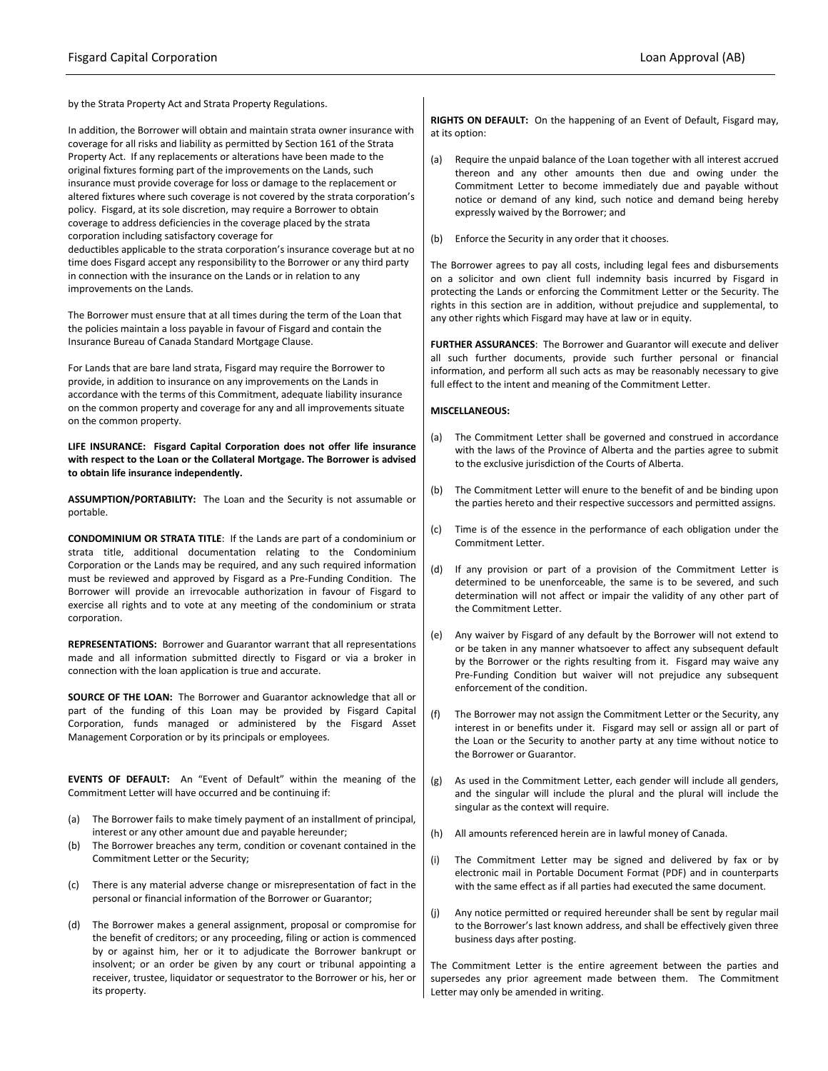by the Strata Property Act and Strata Property Regulations.

In addition, the Borrower will obtain and maintain strata owner insurance with coverage for all risks and liability as permitted by Section 161 of the Strata Property Act. If any replacements or alterations have been made to the original fixtures forming part of the improvements on the Lands, such insurance must provide coverage for loss or damage to the replacement or altered fixtures where such coverage is not covered by the strata corporation's policy. Fisgard, at its sole discretion, may require a Borrower to obtain coverage to address deficiencies in the coverage placed by the strata corporation including satisfactory coverage for deductibles applicable to the strata corporation's insurance coverage but at no time does Fisgard accept any responsibility to the Borrower or any third party in connection with the insurance on the Lands or in relation to any

improvements on the Lands.

The Borrower must ensure that at all times during the term of the Loan that the policies maintain a loss payable in favour of Fisgard and contain the Insurance Bureau of Canada Standard Mortgage Clause.

For Lands that are bare land strata, Fisgard may require the Borrower to provide, in addition to insurance on any improvements on the Lands in accordance with the terms of this Commitment, adequate liability insurance on the common property and coverage for any and all improvements situate on the common property.

**LIFE INSURANCE: Fisgard Capital Corporation does not offer life insurance with respect to the Loan or the Collateral Mortgage. The Borrower is advised to obtain life insurance independently.**

**ASSUMPTION/PORTABILITY:** The Loan and the Security is not assumable or portable.

**CONDOMINIUM OR STRATA TITLE**: If the Lands are part of a condominium or strata title, additional documentation relating to the Condominium Corporation or the Lands may be required, and any such required information must be reviewed and approved by Fisgard as a Pre-Funding Condition. The Borrower will provide an irrevocable authorization in favour of Fisgard to exercise all rights and to vote at any meeting of the condominium or strata corporation.

**REPRESENTATIONS:** Borrower and Guarantor warrant that all representations made and all information submitted directly to Fisgard or via a broker in connection with the loan application is true and accurate.

**SOURCE OF THE LOAN:** The Borrower and Guarantor acknowledge that all or part of the funding of this Loan may be provided by Fisgard Capital Corporation, funds managed or administered by the Fisgard Asset Management Corporation or by its principals or employees.

**EVENTS OF DEFAULT:** An "Event of Default" within the meaning of the Commitment Letter will have occurred and be continuing if:

- (a) The Borrower fails to make timely payment of an installment of principal, interest or any other amount due and payable hereunder;
- (b) The Borrower breaches any term, condition or covenant contained in the Commitment Letter or the Security;
- (c) There is any material adverse change or misrepresentation of fact in the personal or financial information of the Borrower or Guarantor;
- (d) The Borrower makes a general assignment, proposal or compromise for the benefit of creditors; or any proceeding, filing or action is commenced by or against him, her or it to adjudicate the Borrower bankrupt or insolvent; or an order be given by any court or tribunal appointing a receiver, trustee, liquidator or sequestrator to the Borrower or his, her or its property.

**RIGHTS ON DEFAULT:** On the happening of an Event of Default, Fisgard may, at its option:

- (a) Require the unpaid balance of the Loan together with all interest accrued thereon and any other amounts then due and owing under the Commitment Letter to become immediately due and payable without notice or demand of any kind, such notice and demand being hereby expressly waived by the Borrower; and
- (b) Enforce the Security in any order that it chooses.

The Borrower agrees to pay all costs, including legal fees and disbursements on a solicitor and own client full indemnity basis incurred by Fisgard in protecting the Lands or enforcing the Commitment Letter or the Security. The rights in this section are in addition, without prejudice and supplemental, to any other rights which Fisgard may have at law or in equity.

**FURTHER ASSURANCES**: The Borrower and Guarantor will execute and deliver all such further documents, provide such further personal or financial information, and perform all such acts as may be reasonably necessary to give full effect to the intent and meaning of the Commitment Letter.

#### **MISCELLANEOUS:**

- (a) The Commitment Letter shall be governed and construed in accordance with the laws of the Province of Alberta and the parties agree to submit to the exclusive jurisdiction of the Courts of Alberta.
- (b) The Commitment Letter will enure to the benefit of and be binding upon the parties hereto and their respective successors and permitted assigns.
- (c) Time is of the essence in the performance of each obligation under the Commitment Letter.
- (d) If any provision or part of a provision of the Commitment Letter is determined to be unenforceable, the same is to be severed, and such determination will not affect or impair the validity of any other part of the Commitment Letter.
- (e) Any waiver by Fisgard of any default by the Borrower will not extend to or be taken in any manner whatsoever to affect any subsequent default by the Borrower or the rights resulting from it. Fisgard may waive any Pre-Funding Condition but waiver will not prejudice any subsequent enforcement of the condition.
- (f) The Borrower may not assign the Commitment Letter or the Security, any interest in or benefits under it. Fisgard may sell or assign all or part of the Loan or the Security to another party at any time without notice to the Borrower or Guarantor.
- (g) As used in the Commitment Letter, each gender will include all genders, and the singular will include the plural and the plural will include the singular as the context will require.
- (h) All amounts referenced herein are in lawful money of Canada.
- (i) The Commitment Letter may be signed and delivered by fax or by electronic mail in Portable Document Format (PDF) and in counterparts with the same effect as if all parties had executed the same document.
- (j) Any notice permitted or required hereunder shall be sent by regular mail to the Borrower's last known address, and shall be effectively given three business days after posting.

The Commitment Letter is the entire agreement between the parties and supersedes any prior agreement made between them. The Commitment Letter may only be amended in writing.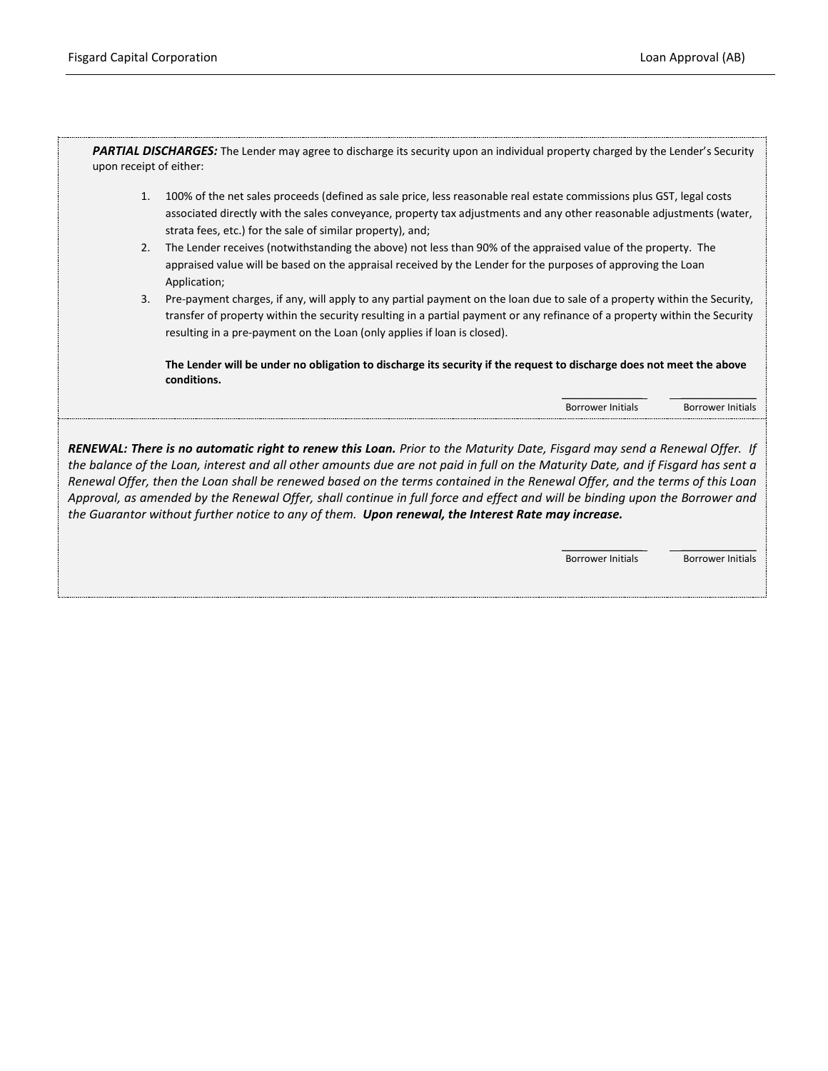PARTIAL DISCHARGES: The Lender may agree to discharge its security upon an individual property charged by the Lender's Security upon receipt of either:

- 1. 100% of the net sales proceeds (defined as sale price, less reasonable real estate commissions plus GST, legal costs associated directly with the sales conveyance, property tax adjustments and any other reasonable adjustments (water, strata fees, etc.) for the sale of similar property), and;
- 2. The Lender receives (notwithstanding the above) not less than 90% of the appraised value of the property. The appraised value will be based on the appraisal received by the Lender for the purposes of approving the Loan Application;
- 3. Pre-payment charges, if any, will apply to any partial payment on the loan due to sale of a property within the Security, transfer of property within the security resulting in a partial payment or any refinance of a property within the Security resulting in a pre-payment on the Loan (only applies if loan is closed).

**The Lender will be under no obligation to discharge its security if the request to discharge does not meet the above conditions.**

Borrower Initials Borrower Initials

\_\_\_\_\_\_\_\_\_\_\_\_\_\_\_ \_\_\_\_\_\_\_\_\_\_\_\_\_\_

*RENEWAL: There is no automatic right to renew this Loan. Prior to the Maturity Date, Fisgard may send a Renewal Offer. If the balance of the Loan, interest and all other amounts due are not paid in full on the Maturity Date, and if Fisgard has sent a Renewal Offer, then the Loan shall be renewed based on the terms contained in the Renewal Offer, and the terms of this Loan Approval, as amended by the Renewal Offer, shall continue in full force and effect and will be binding upon the Borrower and the Guarantor without further notice to any of them. Upon renewal, the Interest Rate may increase.*

> \_\_\_\_\_\_\_\_\_\_\_\_\_\_\_ \_\_\_\_\_\_\_\_\_\_\_\_\_\_ Borrower Initials Borrower Initials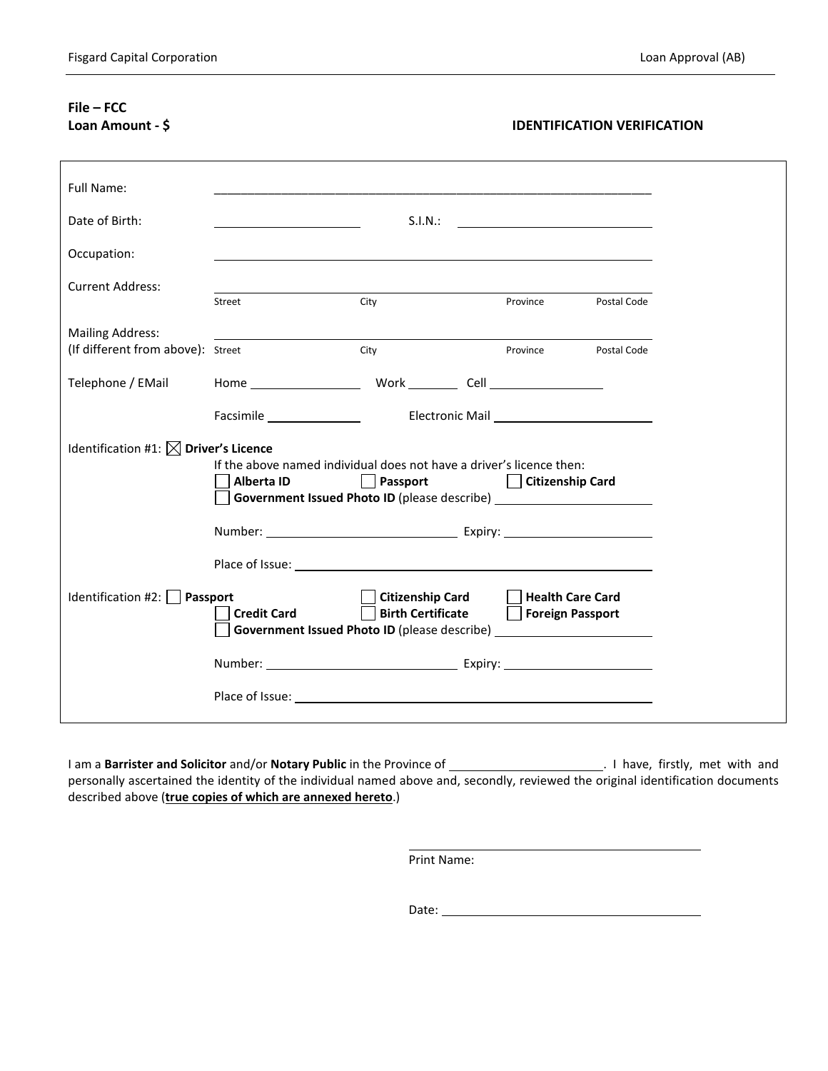# **File – FCC**

## **Loan Amount - \$ IDENTIFICATION VERIFICATION**

| Full Name:                                                                                                              |                                |                                                                                                                                         |                                             |             |  |
|-------------------------------------------------------------------------------------------------------------------------|--------------------------------|-----------------------------------------------------------------------------------------------------------------------------------------|---------------------------------------------|-------------|--|
| Date of Birth:                                                                                                          |                                | S.I.N.:                                                                                                                                 |                                             |             |  |
| Occupation:                                                                                                             |                                |                                                                                                                                         |                                             |             |  |
| <b>Current Address:</b>                                                                                                 | Street                         | City                                                                                                                                    | Province                                    | Postal Code |  |
| <b>Mailing Address:</b><br>(If different from above): Street                                                            |                                | City                                                                                                                                    | Province                                    | Postal Code |  |
| Telephone / EMail                                                                                                       |                                | Home Work Cell Cell                                                                                                                     |                                             |             |  |
|                                                                                                                         |                                |                                                                                                                                         |                                             |             |  |
| Identification #1: $\boxtimes$ Driver's Licence<br>If the above named individual does not have a driver's licence then: |                                |                                                                                                                                         |                                             |             |  |
|                                                                                                                         | <b>Alberta ID</b>              | Passport       Citizenship Card<br>Government Issued Photo ID (please describe) ___________________________________                     |                                             |             |  |
|                                                                                                                         |                                |                                                                                                                                         |                                             |             |  |
|                                                                                                                         |                                |                                                                                                                                         |                                             |             |  |
| Identification #2: $\Box$                                                                                               | Passport<br><b>Credit Card</b> | <b>Citizenship Card</b><br><b>Birth Certificate</b><br>Government Issued Photo ID (please describe) ___________________________________ | <b>Health Care Card</b><br>Foreign Passport |             |  |
|                                                                                                                         |                                |                                                                                                                                         |                                             |             |  |
|                                                                                                                         |                                |                                                                                                                                         |                                             |             |  |
|                                                                                                                         |                                |                                                                                                                                         |                                             |             |  |

I am a **Barrister and Solicitor** and/or **Notary Public** in the Province of . I have, firstly, met with and personally ascertained the identity of the individual named above and, secondly, reviewed the original identification documents described above (**true copies of which are annexed hereto**.)

Print Name:

Date: